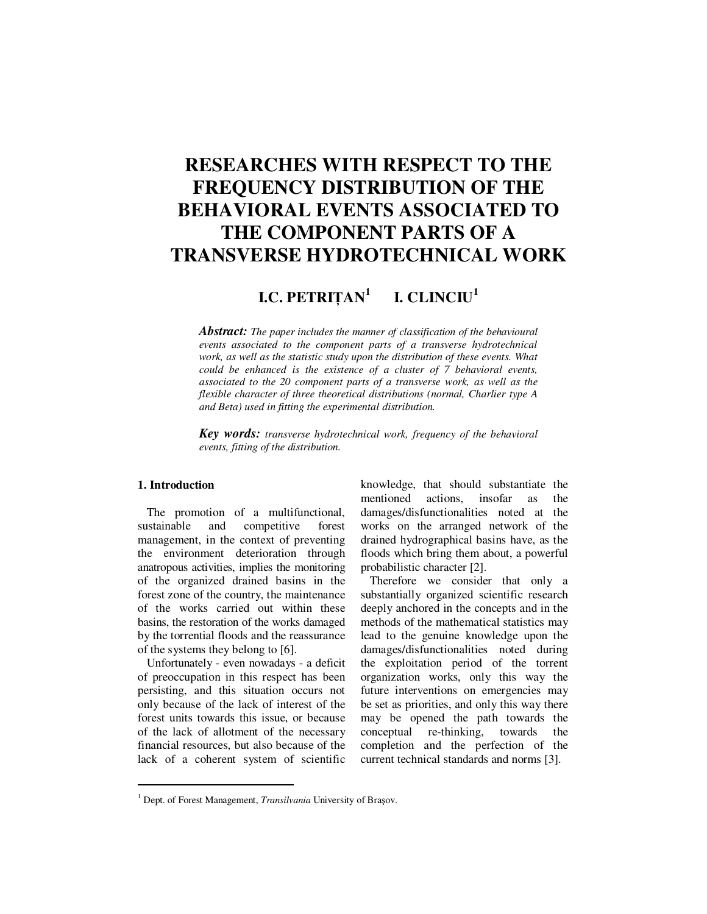# **RESEARCHES WITH RESPECT TO THE FREQUENCY DISTRIBUTION OF THE BEHAVIORAL EVENTS ASSOCIATED TO THE COMPONENT PARTS OF A TRANSVERSE HYDROTECHNICAL WORK**

#### **I.C. PETRI**Ţ**AN<sup>1</sup> I. CLINCIU<sup>1</sup>**

*Abstract: The paper includes the manner of classification of the behavioural events associated to the component parts of a transverse hydrotechnical work, as well as the statistic study upon the distribution of these events. What could be enhanced is the existence of a cluster of 7 behavioral events, associated to the 20 component parts of a transverse work, as well as the flexible character of three theoretical distributions (normal, Charlier type A and Beta) used in fitting the experimental distribution.* 

*Key words: transverse hydrotechnical work, frequency of the behavioral events, fitting of the distribution.*

# **1. Introduction**

 $\ddot{ }$ 

The promotion of a multifunctional, sustainable and competitive forest management, in the context of preventing the environment deterioration through anatropous activities, implies the monitoring of the organized drained basins in the forest zone of the country, the maintenance of the works carried out within these basins, the restoration of the works damaged by the torrential floods and the reassurance of the systems they belong to [6].

Unfortunately - even nowadays - a deficit of preoccupation in this respect has been persisting, and this situation occurs not only because of the lack of interest of the forest units towards this issue, or because of the lack of allotment of the necessary financial resources, but also because of the lack of a coherent system of scientific knowledge, that should substantiate the mentioned actions, insofar as the damages/disfunctionalities noted at the works on the arranged network of the drained hydrographical basins have, as the floods which bring them about, a powerful probabilistic character [2].

Therefore we consider that only a substantially organized scientific research deeply anchored in the concepts and in the methods of the mathematical statistics may lead to the genuine knowledge upon the damages/disfunctionalities noted during the exploitation period of the torrent organization works, only this way the future interventions on emergencies may be set as priorities, and only this way there may be opened the path towards the conceptual re-thinking, towards the completion and the perfection of the current technical standards and norms [3].

<sup>&</sup>lt;sup>1</sup> Dept. of Forest Management, *Transilvania* University of Brașov.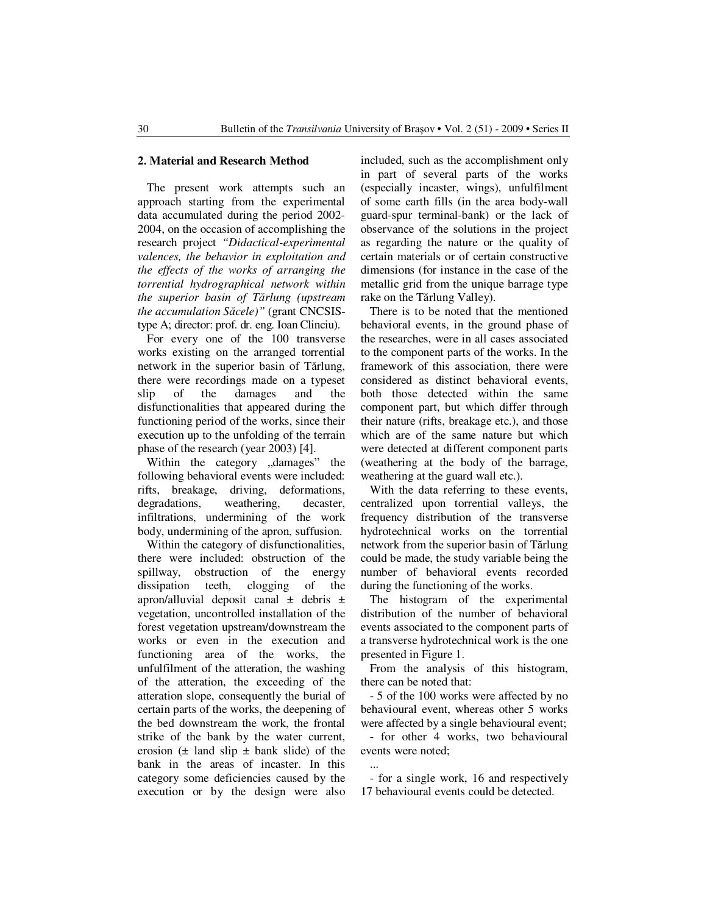#### **2. Material and Research Method**

The present work attempts such an approach starting from the experimental data accumulated during the period 2002- 2004, on the occasion of accomplishing the research project *"Didactical-experimental valences, the behavior in exploitation and the effects of the works of arranging the torrential hydrographical network within the superior basin of T*ă*rlung (upstream the accumulation S*ă*cele)"* (grant CNCSIStype A; director: prof. dr. eng. Ioan Clinciu).

For every one of the 100 transverse works existing on the arranged torrential network in the superior basin of Tărlung, there were recordings made on a typeset slip of the damages and the disfunctionalities that appeared during the functioning period of the works, since their execution up to the unfolding of the terrain phase of the research (year 2003) [4].

Within the category "damages" the following behavioral events were included: rifts, breakage, driving, deformations, degradations, weathering, decaster, infiltrations, undermining of the work body, undermining of the apron, suffusion.

Within the category of disfunctionalities, there were included: obstruction of the spillway, obstruction of the energy dissipation teeth, clogging of the apron/alluvial deposit canal  $\pm$  debris  $\pm$ vegetation, uncontrolled installation of the forest vegetation upstream/downstream the works or even in the execution and functioning area of the works, the unfulfilment of the atteration, the washing of the atteration, the exceeding of the atteration slope, consequently the burial of certain parts of the works, the deepening of the bed downstream the work, the frontal strike of the bank by the water current, erosion  $(\pm \text{ land slip} \pm \text{bank slide})$  of the bank in the areas of incaster. In this category some deficiencies caused by the execution or by the design were also included, such as the accomplishment only in part of several parts of the works (especially incaster, wings), unfulfilment of some earth fills (in the area body-wall guard-spur terminal-bank) or the lack of observance of the solutions in the project as regarding the nature or the quality of certain materials or of certain constructive dimensions (for instance in the case of the metallic grid from the unique barrage type rake on the Tărlung Valley).

There is to be noted that the mentioned behavioral events, in the ground phase of the researches, were in all cases associated to the component parts of the works. In the framework of this association, there were considered as distinct behavioral events, both those detected within the same component part, but which differ through their nature (rifts, breakage etc.), and those which are of the same nature but which were detected at different component parts (weathering at the body of the barrage, weathering at the guard wall etc.).

With the data referring to these events, centralized upon torrential valleys, the frequency distribution of the transverse hydrotechnical works on the torrential network from the superior basin of Tărlung could be made, the study variable being the number of behavioral events recorded during the functioning of the works.

The histogram of the experimental distribution of the number of behavioral events associated to the component parts of a transverse hydrotechnical work is the one presented in Figure 1.

From the analysis of this histogram, there can be noted that:

- 5 of the 100 works were affected by no behavioural event, whereas other 5 works were affected by a single behavioural event;

- for other 4 works, two behavioural events were noted; ...

- for a single work, 16 and respectively 17 behavioural events could be detected.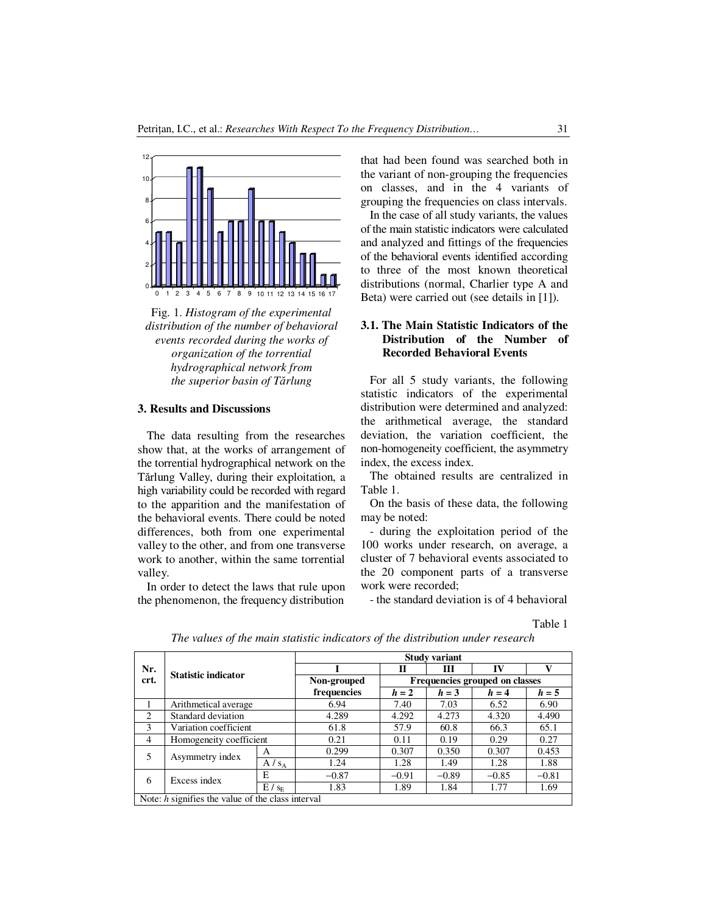



### **3. Results and Discussions**

The data resulting from the researches show that, at the works of arrangement of the torrential hydrographical network on the Tărlung Valley, during their exploitation, a high variability could be recorded with regard to the apparition and the manifestation of the behavioral events. There could be noted differences, both from one experimental valley to the other, and from one transverse work to another, within the same torrential valley.

In order to detect the laws that rule upon the phenomenon, the frequency distribution

that had been found was searched both in the variant of non-grouping the frequencies on classes, and in the 4 variants of grouping the frequencies on class intervals.

In the case of all study variants, the values of the main statistic indicators were calculated and analyzed and fittings of the frequencies of the behavioral events identified according to three of the most known theoretical distributions (normal, Charlier type A and Beta) were carried out (see details in [1]).

# **3.1. The Main Statistic Indicators of the Distribution of the Number of Recorded Behavioral Events**

For all 5 study variants, the following statistic indicators of the experimental distribution were determined and analyzed: the arithmetical average, the standard deviation, the variation coefficient, the non-homogeneity coefficient, the asymmetry index, the excess index.

The obtained results are centralized in Table 1.

On the basis of these data, the following may be noted:

- during the exploitation period of the 100 works under research, on average, a cluster of 7 behavioral events associated to the 20 component parts of a transverse work were recorded;

- the standard deviation is of 4 behavioral

Table 1

|                                                     | <b>Statistic indicator</b> |                    | <b>Study variant</b> |                                |         |         |         |  |  |  |
|-----------------------------------------------------|----------------------------|--------------------|----------------------|--------------------------------|---------|---------|---------|--|--|--|
| Nr.<br>crt.                                         |                            |                    |                      | П                              | ш       | IV      | v       |  |  |  |
|                                                     |                            |                    | Non-grouped          | Frequencies grouped on classes |         |         |         |  |  |  |
|                                                     |                            |                    | frequencies          | $h=2$                          | $h = 3$ | $h = 4$ | $h = 5$ |  |  |  |
|                                                     | Arithmetical average       |                    | 6.94                 | 7.40                           | 7.03    | 6.52    | 6.90    |  |  |  |
| $\mathcal{D}$                                       | Standard deviation         |                    | 4.289                | 4.292                          | 4.273   | 4.320   | 4.490   |  |  |  |
| $\mathbf{3}$                                        | Variation coefficient      |                    | 61.8                 | 57.9                           | 60.8    | 66.3    | 65.1    |  |  |  |
| $\overline{4}$                                      | Homogeneity coefficient    |                    | 0.21                 | 0.11                           | 0.19    | 0.29    | 0.27    |  |  |  |
| 5                                                   | Asymmetry index            | A                  | 0.299                | 0.307                          | 0.350   | 0.307   | 0.453   |  |  |  |
|                                                     |                            | $A / s_A$          | 1.24                 | 1.28                           | 1.49    | 1.28    | 1.88    |  |  |  |
| 6                                                   | Excess index               | Е                  | $-0.87$              | $-0.91$                        | $-0.89$ | $-0.85$ | $-0.81$ |  |  |  |
|                                                     |                            | E / s <sub>E</sub> | 1.83                 | 1.89                           | 1.84    | 1.77    | 1.69    |  |  |  |
| Note: $h$ signifies the value of the class interval |                            |                    |                      |                                |         |         |         |  |  |  |

*The values of the main statistic indicators of the distribution under research*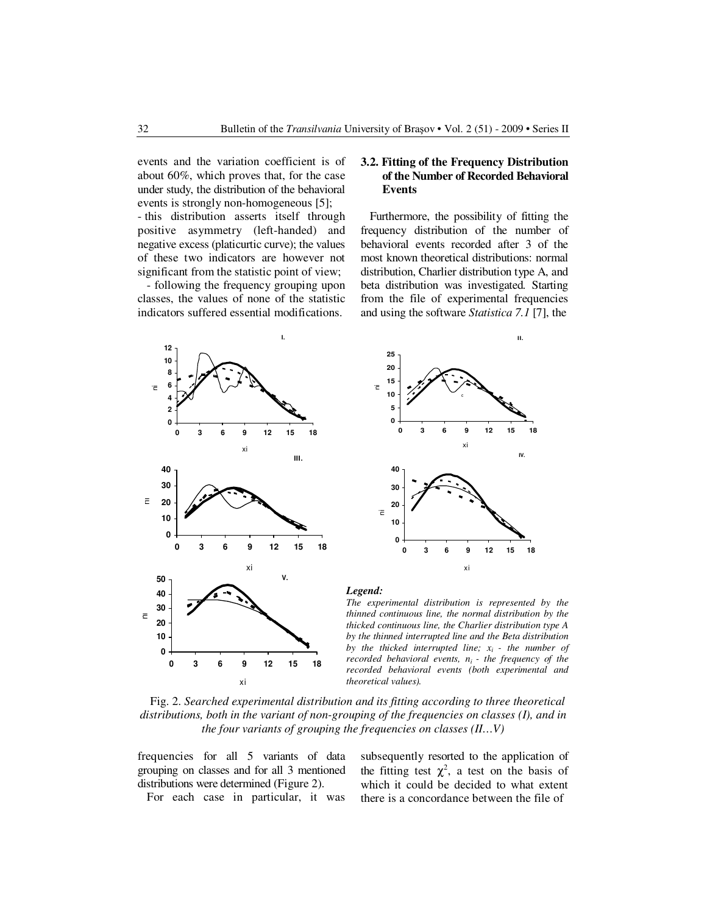events and the variation coefficient is of about 60%, which proves that, for the case under study, the distribution of the behavioral events is strongly non-homogeneous [5];

- this distribution asserts itself through positive asymmetry (left-handed) and negative excess (platicurtic curve); the values of these two indicators are however not significant from the statistic point of view;

- following the frequency grouping upon classes, the values of none of the statistic indicators suffered essential modifications.

## **3.2. Fitting of the Frequency Distribution of the Number of Recorded Behavioral Events**

Furthermore, the possibility of fitting the frequency distribution of the number of behavioral events recorded after 3 of the most known theoretical distributions: normal distribution, Charlier distribution type A, and beta distribution was investigated. Starting from the file of experimental frequencies and using the software *Statistica 7.1* [7], the





#### *Legend:*

*The experimental distribution is represented by the thinned continuous line, the normal distribution by the thicked continuous line, the Charlier distribution type A by the thinned interrupted line and the Beta distribution by the thicked interrupted line;*  $x_i$  *- the number of recorded behavioral events, ni - the frequency of the recorded behavioral events (both experimental and theoretical values).*

Fig. 2. *Searched experimental distribution and its fitting according to three theoretical distributions, both in the variant of non-grouping of the frequencies on classes (I), and in the four variants of grouping the frequencies on classes (II…V)* 

frequencies for all 5 variants of data grouping on classes and for all 3 mentioned distributions were determined (Figure 2).

For each case in particular, it was

subsequently resorted to the application of the fitting test  $\chi^2$ , a test on the basis of which it could be decided to what extent there is a concordance between the file of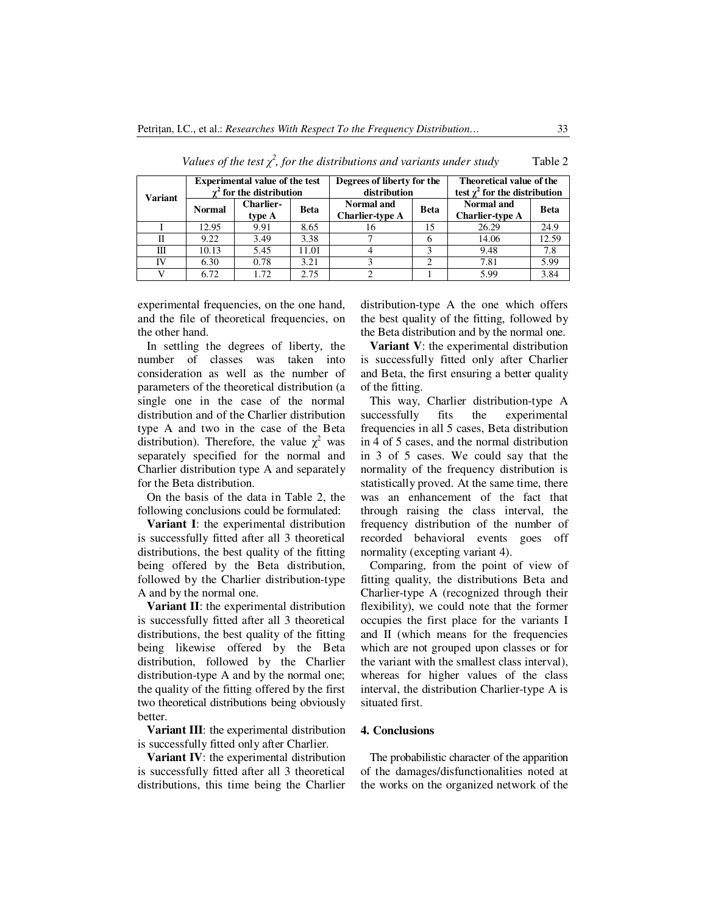| <b>Variant</b> | <b>Experimental value of the test</b><br>$\gamma^2$ for the distribution |                            |             | Degrees of liberty for the<br>distribution |             | Theoretical value of the<br>test $\gamma^2$ for the distribution |             |
|----------------|--------------------------------------------------------------------------|----------------------------|-------------|--------------------------------------------|-------------|------------------------------------------------------------------|-------------|
|                | <b>Normal</b>                                                            | <b>Charlier-</b><br>type A | <b>Beta</b> | Normal and<br><b>Charlier-type A</b>       | <b>Beta</b> | <b>Normal</b> and<br><b>Charlier-type A</b>                      | <b>Beta</b> |
|                | 12.95                                                                    | 9.91                       | 8.65        | 16                                         | 15          | 26.29                                                            | 24.9        |
| Н              | 9.22                                                                     | 3.49                       | 3.38        |                                            |             | 14.06                                                            | 12.59       |
| Ш              | 10.13                                                                    | 5.45                       | 11.01       |                                            |             | 9.48                                                             | 7.8         |
| IV             | 6.30                                                                     | 0.78                       | 3.21        |                                            | っ           | 7.81                                                             | 5.99        |
|                | 6.72                                                                     | 1.72                       | 2.75        | ∍                                          |             | 5.99                                                             | 3.84        |

*Values of the test*  $\chi^2$ *, for the distributions and variants under study* Table 2

experimental frequencies, on the one hand, and the file of theoretical frequencies, on the other hand.

In settling the degrees of liberty, the number of classes was taken into consideration as well as the number of parameters of the theoretical distribution (a single one in the case of the normal distribution and of the Charlier distribution type A and two in the case of the Beta distribution). Therefore, the value  $\chi^2$  was separately specified for the normal and Charlier distribution type A and separately for the Beta distribution.

On the basis of the data in Table 2, the following conclusions could be formulated:

**Variant I**: the experimental distribution is successfully fitted after all 3 theoretical distributions, the best quality of the fitting being offered by the Beta distribution, followed by the Charlier distribution-type A and by the normal one.

**Variant II**: the experimental distribution is successfully fitted after all 3 theoretical distributions, the best quality of the fitting being likewise offered by the Beta distribution, followed by the Charlier distribution-type A and by the normal one; the quality of the fitting offered by the first two theoretical distributions being obviously better.

**Variant III**: the experimental distribution is successfully fitted only after Charlier.

**Variant IV**: the experimental distribution is successfully fitted after all 3 theoretical distributions, this time being the Charlier

distribution-type A the one which offers the best quality of the fitting, followed by the Beta distribution and by the normal one.

**Variant V**: the experimental distribution is successfully fitted only after Charlier and Beta, the first ensuring a better quality of the fitting.

This way, Charlier distribution-type A successfully fits the experimental frequencies in all 5 cases, Beta distribution in 4 of 5 cases, and the normal distribution in 3 of 5 cases. We could say that the normality of the frequency distribution is statistically proved. At the same time, there was an enhancement of the fact that through raising the class interval, the frequency distribution of the number of recorded behavioral events goes off normality (excepting variant 4).

Comparing, from the point of view of fitting quality, the distributions Beta and Charlier-type A (recognized through their flexibility), we could note that the former occupies the first place for the variants I and II (which means for the frequencies which are not grouped upon classes or for the variant with the smallest class interval), whereas for higher values of the class interval, the distribution Charlier-type A is situated first.

#### **4. Conclusions**

The probabilistic character of the apparition of the damages/disfunctionalities noted at the works on the organized network of the